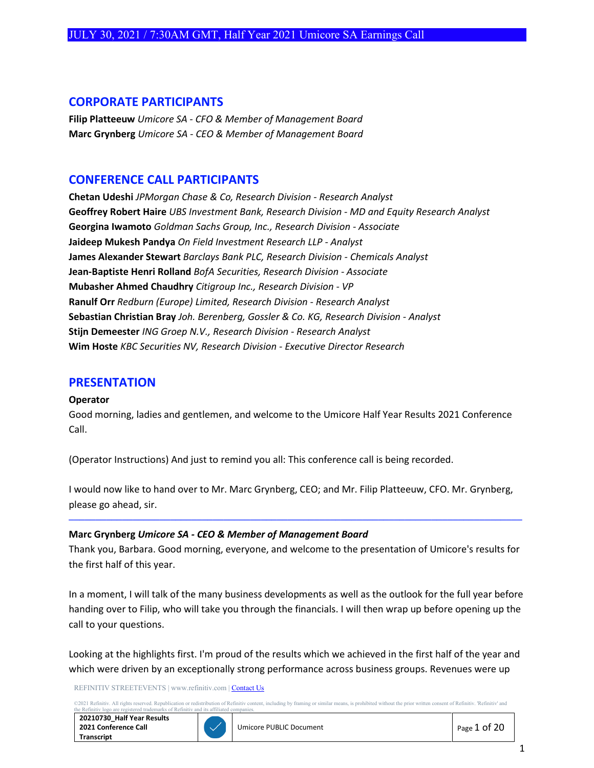## **CORPORATE PARTICIPANTS**

**Filip Platteeuw** *Umicore SA - CFO & Member of Management Board* **Marc Grynberg** *Umicore SA - CEO & Member of Management Board*

# **CONFERENCE CALL PARTICIPANTS**

**Chetan Udeshi** *JPMorgan Chase & Co, Research Division - Research Analyst* **Geoffrey Robert Haire** *UBS Investment Bank, Research Division - MD and Equity Research Analyst* **Georgina Iwamoto** *Goldman Sachs Group, Inc., Research Division - Associate* **Jaideep Mukesh Pandya** *On Field Investment Research LLP - Analyst* **James Alexander Stewart** *Barclays Bank PLC, Research Division - Chemicals Analyst* **Jean-Baptiste Henri Rolland** *BofA Securities, Research Division - Associate* **Mubasher Ahmed Chaudhry** *Citigroup Inc., Research Division - VP* **Ranulf Orr** *Redburn (Europe) Limited, Research Division - Research Analyst* **Sebastian Christian Bray** *Joh. Berenberg, Gossler & Co. KG, Research Division - Analyst* **Stijn Demeester** *ING Groep N.V., Research Division - Research Analyst* **Wim Hoste** *KBC Securities NV, Research Division - Executive Director Research*

## **PRESENTATION**

#### **Operator**

Good morning, ladies and gentlemen, and welcome to the Umicore Half Year Results 2021 Conference Call.

(Operator Instructions) And just to remind you all: This conference call is being recorded.

I would now like to hand over to Mr. Marc Grynberg, CEO; and Mr. Filip Platteeuw, CFO. Mr. Grynberg, please go ahead, sir.

#### **Marc Grynberg** *Umicore SA - CEO & Member of Management Board*

Thank you, Barbara. Good morning, everyone, and welcome to the presentation of Umicore's results for the first half of this year.

─────────────────────────────────────────────────────────────────────────────────────

In a moment, I will talk of the many business developments as well as the outlook for the full year before handing over to Filip, who will take you through the financials. I will then wrap up before opening up the call to your questions.

Looking at the highlights first. I'm proud of the results which we achieved in the first half of the year and which were driven by an exceptionally strong performance across business groups. Revenues were up

REFINITIV STREETEVENTS | www.refinitiv.com [| Contact Us](https://www.refinitiv.com/en/contact-us)

rved. Republication or redistribution of Refinitiv content, including by framing or similar means, is prohibited without the prior written consent of Refinitiv. Refinitiv' and arks of Refinitiv and its affiliated

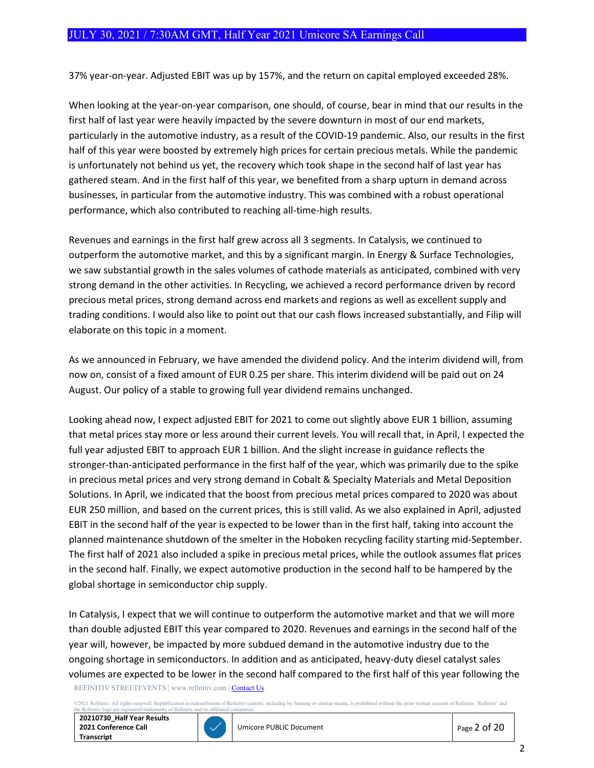37% year-on-year. Adjusted EBIT was up by 157%, and the return on capital employed exceeded 28%.

When looking at the year-on-year comparison, one should, of course, bear in mind that our results in the first half of last year were heavily impacted by the severe downturn in most of our end markets, particularly in the automotive industry, as a result of the COVID-19 pandemic. Also, our results in the first half of this year were boosted by extremely high prices for certain precious metals. While the pandemic is unfortunately not behind us yet, the recovery which took shape in the second half of last year has gathered steam. And in the first half of this year, we benefited from a sharp upturn in demand across businesses, in particular from the automotive industry. This was combined with a robust operational performance, which also contributed to reaching all-time-high results.

Revenues and earnings in the first half grew across all 3 segments. In Catalysis, we continued to outperform the automotive market, and this by a significant margin. In Energy & Surface Technologies, we saw substantial growth in the sales volumes of cathode materials as anticipated, combined with very strong demand in the other activities. In Recycling, we achieved a record performance driven by record precious metal prices, strong demand across end markets and regions as well as excellent supply and trading conditions. I would also like to point out that our cash flows increased substantially, and Filip will elaborate on this topic in a moment.

As we announced in February, we have amended the dividend policy. And the interim dividend will, from now on, consist of a fixed amount of EUR 0.25 per share. This interim dividend will be paid out on 24 August. Our policy of a stable to growing full year dividend remains unchanged.

Looking ahead now, I expect adjusted EBIT for 2021 to come out slightly above EUR 1 billion, assuming that metal prices stay more or less around their current levels. You will recall that, in April, I expected the full year adjusted EBIT to approach EUR 1 billion. And the slight increase in guidance reflects the stronger-than-anticipated performance in the first half of the year, which was primarily due to the spike in precious metal prices and very strong demand in Cobalt & Specialty Materials and Metal Deposition Solutions. In April, we indicated that the boost from precious metal prices compared to 2020 was about EUR 250 million, and based on the current prices, this is still valid. As we also explained in April, adjusted EBIT in the second half of the year is expected to be lower than in the first half, taking into account the planned maintenance shutdown of the smelter in the Hoboken recycling facility starting mid-September. The first half of 2021 also included a spike in precious metal prices, while the outlook assumes flat prices in the second half. Finally, we expect automotive production in the second half to be hampered by the global shortage in semiconductor chip supply.

REFINITIV STREETEVENTS | www.refinitiv.com [| Contact Us](https://www.refinitiv.com/en/contact-us) In Catalysis, I expect that we will continue to outperform the automotive market and that we will more than double adjusted EBIT this year compared to 2020. Revenues and earnings in the second half of the year will, however, be impacted by more subdued demand in the automotive industry due to the ongoing shortage in semiconductors. In addition and as anticipated, heavy-duty diesel catalyst sales volumes are expected to be lower in the second half compared to the first half of this year following the

©2021 Refinitiv. All rights reserved. Republication or redistribution of Refinitiv content, including by framing or similar means, is prohibited without the prior written consent of Refinitiv. 'Refinitiv' and

**20210730\_Half Year Results 2021 Conference Call Transcript**



and its affil

Umicore PUBLIC Document **PUBLIC Document Page 2 of 20**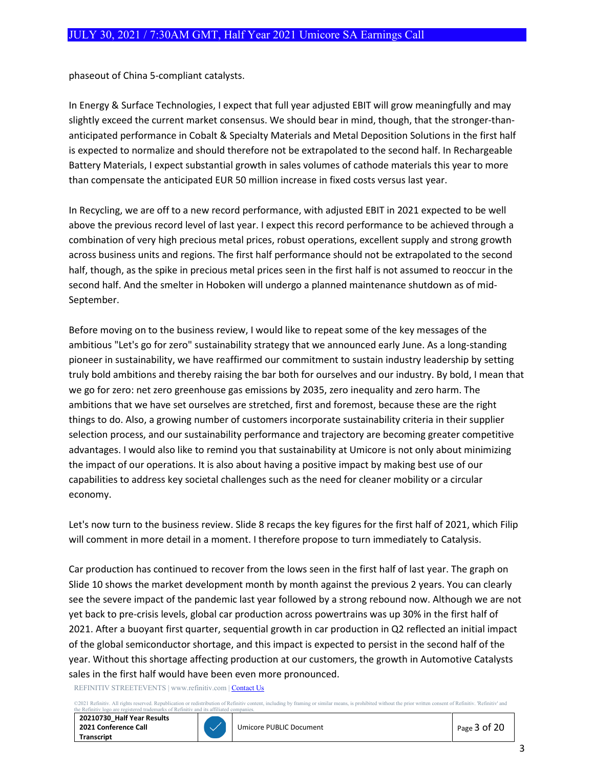phaseout of China 5-compliant catalysts.

In Energy & Surface Technologies, I expect that full year adjusted EBIT will grow meaningfully and may slightly exceed the current market consensus. We should bear in mind, though, that the stronger-thananticipated performance in Cobalt & Specialty Materials and Metal Deposition Solutions in the first half is expected to normalize and should therefore not be extrapolated to the second half. In Rechargeable Battery Materials, I expect substantial growth in sales volumes of cathode materials this year to more than compensate the anticipated EUR 50 million increase in fixed costs versus last year.

In Recycling, we are off to a new record performance, with adjusted EBIT in 2021 expected to be well above the previous record level of last year. I expect this record performance to be achieved through a combination of very high precious metal prices, robust operations, excellent supply and strong growth across business units and regions. The first half performance should not be extrapolated to the second half, though, as the spike in precious metal prices seen in the first half is not assumed to reoccur in the second half. And the smelter in Hoboken will undergo a planned maintenance shutdown as of mid-September.

Before moving on to the business review, I would like to repeat some of the key messages of the ambitious "Let's go for zero" sustainability strategy that we announced early June. As a long-standing pioneer in sustainability, we have reaffirmed our commitment to sustain industry leadership by setting truly bold ambitions and thereby raising the bar both for ourselves and our industry. By bold, I mean that we go for zero: net zero greenhouse gas emissions by 2035, zero inequality and zero harm. The ambitions that we have set ourselves are stretched, first and foremost, because these are the right things to do. Also, a growing number of customers incorporate sustainability criteria in their supplier selection process, and our sustainability performance and trajectory are becoming greater competitive advantages. I would also like to remind you that sustainability at Umicore is not only about minimizing the impact of our operations. It is also about having a positive impact by making best use of our capabilities to address key societal challenges such as the need for cleaner mobility or a circular economy.

Let's now turn to the business review. Slide 8 recaps the key figures for the first half of 2021, which Filip will comment in more detail in a moment. I therefore propose to turn immediately to Catalysis.

Car production has continued to recover from the lows seen in the first half of last year. The graph on Slide 10 shows the market development month by month against the previous 2 years. You can clearly see the severe impact of the pandemic last year followed by a strong rebound now. Although we are not yet back to pre-crisis levels, global car production across powertrains was up 30% in the first half of 2021. After a buoyant first quarter, sequential growth in car production in Q2 reflected an initial impact of the global semiconductor shortage, and this impact is expected to persist in the second half of the year. Without this shortage affecting production at our customers, the growth in Automotive Catalysts sales in the first half would have been even more pronounced.

REFINITIV STREETEVENTS | www.refinitiv.com [| Contact Us](https://www.refinitiv.com/en/contact-us)

02021 Refinitiv. All rights reserved. Republication or redistribution of Refinitiv content, including by framing or similar means, is prohibited without the prior written consent of Refinitiv. 'Refinitiv' and the Refinitiv ered trademarks of Refiniti **20210730\_Half Year Results 2021 Conference Call Transcript**



Umicore PUBLIC Document Page 3 of 20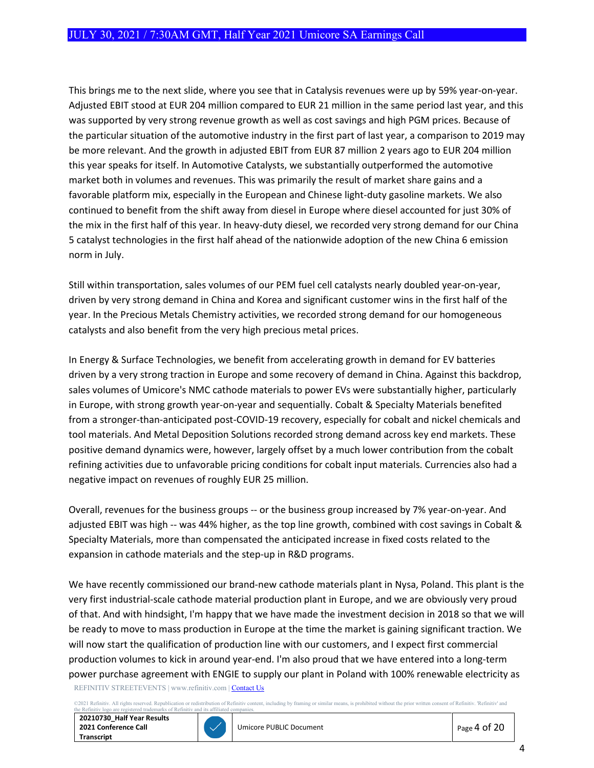This brings me to the next slide, where you see that in Catalysis revenues were up by 59% year-on-year. Adjusted EBIT stood at EUR 204 million compared to EUR 21 million in the same period last year, and this was supported by very strong revenue growth as well as cost savings and high PGM prices. Because of the particular situation of the automotive industry in the first part of last year, a comparison to 2019 may be more relevant. And the growth in adjusted EBIT from EUR 87 million 2 years ago to EUR 204 million this year speaks for itself. In Automotive Catalysts, we substantially outperformed the automotive market both in volumes and revenues. This was primarily the result of market share gains and a favorable platform mix, especially in the European and Chinese light-duty gasoline markets. We also continued to benefit from the shift away from diesel in Europe where diesel accounted for just 30% of the mix in the first half of this year. In heavy-duty diesel, we recorded very strong demand for our China 5 catalyst technologies in the first half ahead of the nationwide adoption of the new China 6 emission norm in July.

Still within transportation, sales volumes of our PEM fuel cell catalysts nearly doubled year-on-year, driven by very strong demand in China and Korea and significant customer wins in the first half of the year. In the Precious Metals Chemistry activities, we recorded strong demand for our homogeneous catalysts and also benefit from the very high precious metal prices.

In Energy & Surface Technologies, we benefit from accelerating growth in demand for EV batteries driven by a very strong traction in Europe and some recovery of demand in China. Against this backdrop, sales volumes of Umicore's NMC cathode materials to power EVs were substantially higher, particularly in Europe, with strong growth year-on-year and sequentially. Cobalt & Specialty Materials benefited from a stronger-than-anticipated post-COVID-19 recovery, especially for cobalt and nickel chemicals and tool materials. And Metal Deposition Solutions recorded strong demand across key end markets. These positive demand dynamics were, however, largely offset by a much lower contribution from the cobalt refining activities due to unfavorable pricing conditions for cobalt input materials. Currencies also had a negative impact on revenues of roughly EUR 25 million.

Overall, revenues for the business groups -- or the business group increased by 7% year-on-year. And adjusted EBIT was high -- was 44% higher, as the top line growth, combined with cost savings in Cobalt & Specialty Materials, more than compensated the anticipated increase in fixed costs related to the expansion in cathode materials and the step-up in R&D programs.

REFINITIV STREETEVENTS | www.refinitiv.com [| Contact Us](https://www.refinitiv.com/en/contact-us) We have recently commissioned our brand-new cathode materials plant in Nysa, Poland. This plant is the very first industrial-scale cathode material production plant in Europe, and we are obviously very proud of that. And with hindsight, I'm happy that we have made the investment decision in 2018 so that we will be ready to move to mass production in Europe at the time the market is gaining significant traction. We will now start the qualification of production line with our customers, and I expect first commercial production volumes to kick in around year-end. I'm also proud that we have entered into a long-term power purchase agreement with ENGIE to supply our plant in Poland with 100% renewable electricity as

2021 Refinitiv. All rights reserved. Republication or redistribution of Refinitiv content, including by framing or similar means, is prohibited without the prior written consent of Refinitiv. Refinitiv' and including the R

**20210730\_Half Year Results 2021 Conference Call Transcript**

ered trademarks of Refiniti



Umicore PUBLIC Document Page 4 of 20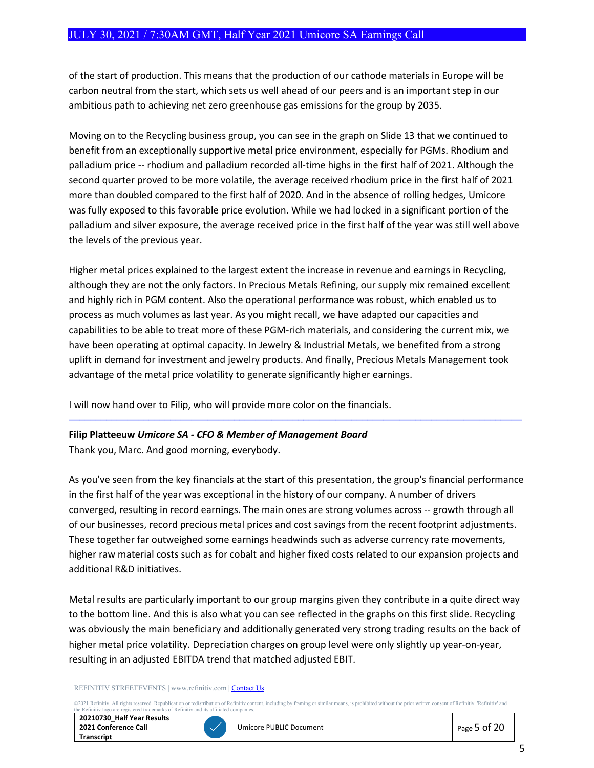of the start of production. This means that the production of our cathode materials in Europe will be carbon neutral from the start, which sets us well ahead of our peers and is an important step in our ambitious path to achieving net zero greenhouse gas emissions for the group by 2035.

Moving on to the Recycling business group, you can see in the graph on Slide 13 that we continued to benefit from an exceptionally supportive metal price environment, especially for PGMs. Rhodium and palladium price -- rhodium and palladium recorded all-time highs in the first half of 2021. Although the second quarter proved to be more volatile, the average received rhodium price in the first half of 2021 more than doubled compared to the first half of 2020. And in the absence of rolling hedges, Umicore was fully exposed to this favorable price evolution. While we had locked in a significant portion of the palladium and silver exposure, the average received price in the first half of the year was still well above the levels of the previous year.

Higher metal prices explained to the largest extent the increase in revenue and earnings in Recycling, although they are not the only factors. In Precious Metals Refining, our supply mix remained excellent and highly rich in PGM content. Also the operational performance was robust, which enabled us to process as much volumes as last year. As you might recall, we have adapted our capacities and capabilities to be able to treat more of these PGM-rich materials, and considering the current mix, we have been operating at optimal capacity. In Jewelry & Industrial Metals, we benefited from a strong uplift in demand for investment and jewelry products. And finally, Precious Metals Management took advantage of the metal price volatility to generate significantly higher earnings.

I will now hand over to Filip, who will provide more color on the financials.

## **Filip Platteeuw** *Umicore SA - CFO & Member of Management Board*

Thank you, Marc. And good morning, everybody.

As you've seen from the key financials at the start of this presentation, the group's financial performance in the first half of the year was exceptional in the history of our company. A number of drivers converged, resulting in record earnings. The main ones are strong volumes across -- growth through all of our businesses, record precious metal prices and cost savings from the recent footprint adjustments. These together far outweighed some earnings headwinds such as adverse currency rate movements, higher raw material costs such as for cobalt and higher fixed costs related to our expansion projects and additional R&D initiatives.

─────────────────────────────────────────────────────────────────────────────────────

Metal results are particularly important to our group margins given they contribute in a quite direct way to the bottom line. And this is also what you can see reflected in the graphs on this first slide. Recycling was obviously the main beneficiary and additionally generated very strong trading results on the back of higher metal price volatility. Depreciation charges on group level were only slightly up year-on-year, resulting in an adjusted EBITDA trend that matched adjusted EBIT.

#### REFINITIV STREETEVENTS | www.refinitiv.com [| Contact Us](https://www.refinitiv.com/en/contact-us)

©2021 Refinitiv. All rights reserved. Republication or redistribution of Refinitiv content, including by framing or similar means, is prohibited without the prior written consent of Refinitiv. 'Refinitiv' and<br>the Refinitiv

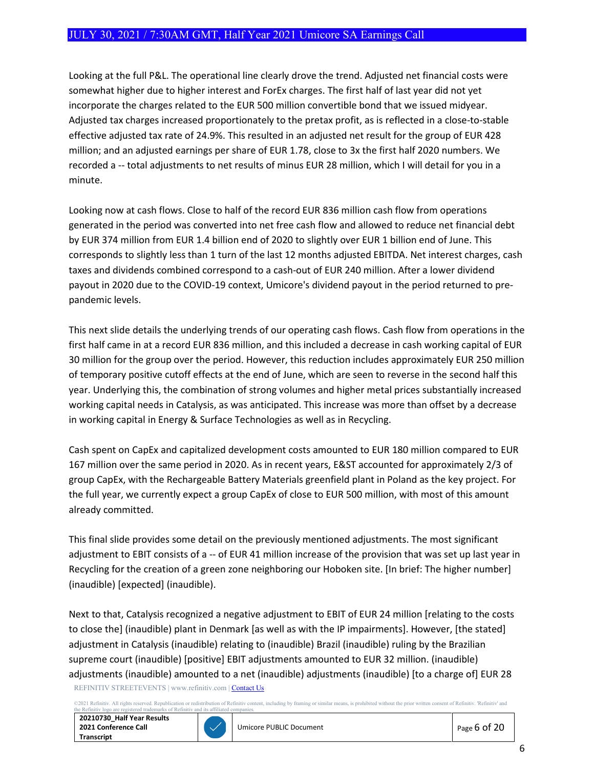Looking at the full P&L. The operational line clearly drove the trend. Adjusted net financial costs were somewhat higher due to higher interest and ForEx charges. The first half of last year did not yet incorporate the charges related to the EUR 500 million convertible bond that we issued midyear. Adjusted tax charges increased proportionately to the pretax profit, as is reflected in a close-to-stable effective adjusted tax rate of 24.9%. This resulted in an adjusted net result for the group of EUR 428 million; and an adjusted earnings per share of EUR 1.78, close to 3x the first half 2020 numbers. We recorded a -- total adjustments to net results of minus EUR 28 million, which I will detail for you in a minute.

Looking now at cash flows. Close to half of the record EUR 836 million cash flow from operations generated in the period was converted into net free cash flow and allowed to reduce net financial debt by EUR 374 million from EUR 1.4 billion end of 2020 to slightly over EUR 1 billion end of June. This corresponds to slightly less than 1 turn of the last 12 months adjusted EBITDA. Net interest charges, cash taxes and dividends combined correspond to a cash-out of EUR 240 million. After a lower dividend payout in 2020 due to the COVID-19 context, Umicore's dividend payout in the period returned to prepandemic levels.

This next slide details the underlying trends of our operating cash flows. Cash flow from operations in the first half came in at a record EUR 836 million, and this included a decrease in cash working capital of EUR 30 million for the group over the period. However, this reduction includes approximately EUR 250 million of temporary positive cutoff effects at the end of June, which are seen to reverse in the second half this year. Underlying this, the combination of strong volumes and higher metal prices substantially increased working capital needs in Catalysis, as was anticipated. This increase was more than offset by a decrease in working capital in Energy & Surface Technologies as well as in Recycling.

Cash spent on CapEx and capitalized development costs amounted to EUR 180 million compared to EUR 167 million over the same period in 2020. As in recent years, E&ST accounted for approximately 2/3 of group CapEx, with the Rechargeable Battery Materials greenfield plant in Poland as the key project. For the full year, we currently expect a group CapEx of close to EUR 500 million, with most of this amount already committed.

This final slide provides some detail on the previously mentioned adjustments. The most significant adjustment to EBIT consists of a -- of EUR 41 million increase of the provision that was set up last year in Recycling for the creation of a green zone neighboring our Hoboken site. [In brief: The higher number] (inaudible) [expected] (inaudible).

REFINITIV STREETEVENTS | www.refinitiv.com [| Contact Us](https://www.refinitiv.com/en/contact-us) Next to that, Catalysis recognized a negative adjustment to EBIT of EUR 24 million [relating to the costs to close the] (inaudible) plant in Denmark [as well as with the IP impairments]. However, [the stated] adjustment in Catalysis (inaudible) relating to (inaudible) Brazil (inaudible) ruling by the Brazilian supreme court (inaudible) [positive] EBIT adjustments amounted to EUR 32 million. (inaudible) adjustments (inaudible) amounted to a net (inaudible) adjustments (inaudible) [to a charge of] EUR 28

©2021 Refinitiv. All rights reserved. Republication or redistribution of Refinitiv content, including by framing or similar means, is prohibited without the prior written consent of Refinitiv. 'Refinitiv' and arks of Refinitiv and its affiliated

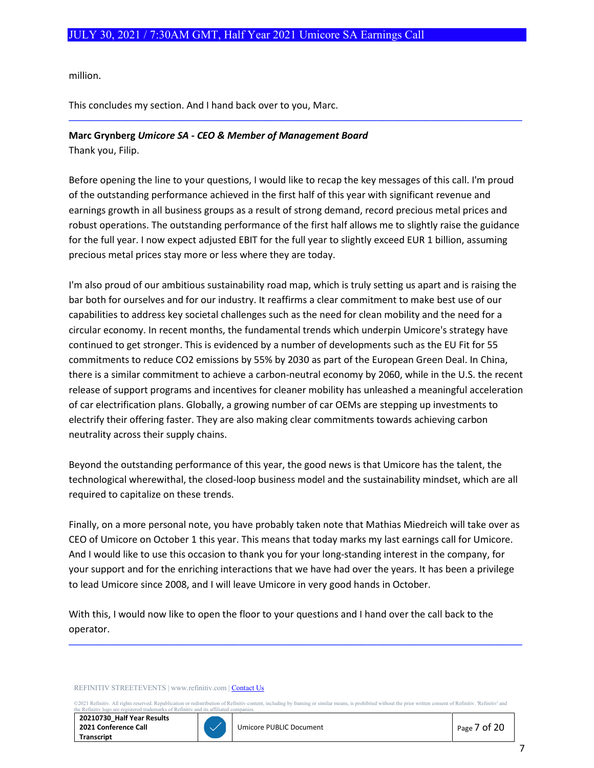million.

This concludes my section. And I hand back over to you, Marc.

## **Marc Grynberg** *Umicore SA - CEO & Member of Management Board*

Thank you, Filip.

Before opening the line to your questions, I would like to recap the key messages of this call. I'm proud of the outstanding performance achieved in the first half of this year with significant revenue and earnings growth in all business groups as a result of strong demand, record precious metal prices and robust operations. The outstanding performance of the first half allows me to slightly raise the guidance for the full year. I now expect adjusted EBIT for the full year to slightly exceed EUR 1 billion, assuming precious metal prices stay more or less where they are today.

─────────────────────────────────────────────────────────────────────────────────────

I'm also proud of our ambitious sustainability road map, which is truly setting us apart and is raising the bar both for ourselves and for our industry. It reaffirms a clear commitment to make best use of our capabilities to address key societal challenges such as the need for clean mobility and the need for a circular economy. In recent months, the fundamental trends which underpin Umicore's strategy have continued to get stronger. This is evidenced by a number of developments such as the EU Fit for 55 commitments to reduce CO2 emissions by 55% by 2030 as part of the European Green Deal. In China, there is a similar commitment to achieve a carbon-neutral economy by 2060, while in the U.S. the recent release of support programs and incentives for cleaner mobility has unleashed a meaningful acceleration of car electrification plans. Globally, a growing number of car OEMs are stepping up investments to electrify their offering faster. They are also making clear commitments towards achieving carbon neutrality across their supply chains.

Beyond the outstanding performance of this year, the good news is that Umicore has the talent, the technological wherewithal, the closed-loop business model and the sustainability mindset, which are all required to capitalize on these trends.

Finally, on a more personal note, you have probably taken note that Mathias Miedreich will take over as CEO of Umicore on October 1 this year. This means that today marks my last earnings call for Umicore. And I would like to use this occasion to thank you for your long-standing interest in the company, for your support and for the enriching interactions that we have had over the years. It has been a privilege to lead Umicore since 2008, and I will leave Umicore in very good hands in October.

With this, I would now like to open the floor to your questions and I hand over the call back to the operator.

REFINITIV STREETEVENTS | www.refinitiv.com [| Contact Us](https://www.refinitiv.com/en/contact-us)

©2021 Refinitiv. All rights reserved. Republication or redistribution of Refinitiv content, including by framing or similar means, is prohibited without the prior written consent of Refinitiv. 'Refinitiv' and<br>the Refinitiv

─────────────────────────────────────────────────────────────────────────────────────

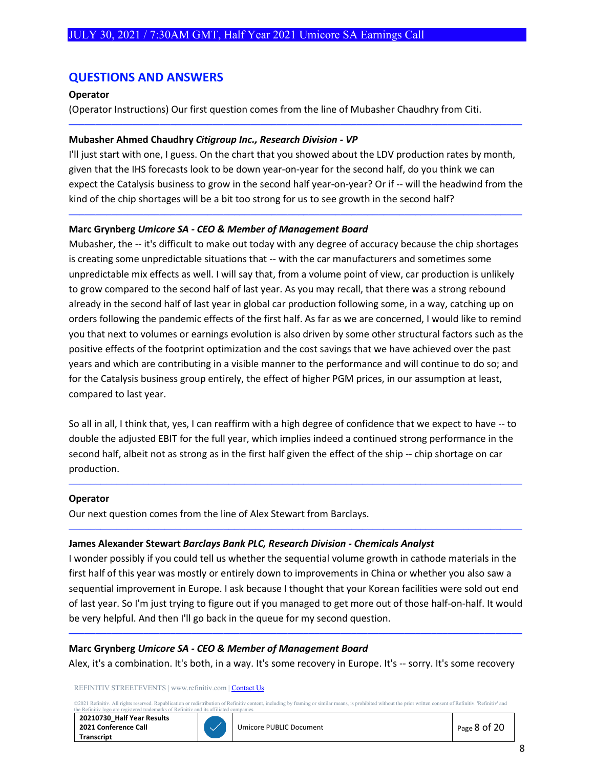# **QUESTIONS AND ANSWERS**

## **Operator**

(Operator Instructions) Our first question comes from the line of Mubasher Chaudhry from Citi.

#### **Mubasher Ahmed Chaudhry** *Citigroup Inc., Research Division - VP*

I'll just start with one, I guess. On the chart that you showed about the LDV production rates by month, given that the IHS forecasts look to be down year-on-year for the second half, do you think we can expect the Catalysis business to grow in the second half year-on-year? Or if -- will the headwind from the kind of the chip shortages will be a bit too strong for us to see growth in the second half?

─────────────────────────────────────────────────────────────────────────────────────

─────────────────────────────────────────────────────────────────────────────────────

#### **Marc Grynberg** *Umicore SA - CEO & Member of Management Board*

Mubasher, the -- it's difficult to make out today with any degree of accuracy because the chip shortages is creating some unpredictable situations that -- with the car manufacturers and sometimes some unpredictable mix effects as well. I will say that, from a volume point of view, car production is unlikely to grow compared to the second half of last year. As you may recall, that there was a strong rebound already in the second half of last year in global car production following some, in a way, catching up on orders following the pandemic effects of the first half. As far as we are concerned, I would like to remind you that next to volumes or earnings evolution is also driven by some other structural factors such as the positive effects of the footprint optimization and the cost savings that we have achieved over the past years and which are contributing in a visible manner to the performance and will continue to do so; and for the Catalysis business group entirely, the effect of higher PGM prices, in our assumption at least, compared to last year.

So all in all, I think that, yes, I can reaffirm with a high degree of confidence that we expect to have -- to double the adjusted EBIT for the full year, which implies indeed a continued strong performance in the second half, albeit not as strong as in the first half given the effect of the ship -- chip shortage on car production.

─────────────────────────────────────────────────────────────────────────────────────

─────────────────────────────────────────────────────────────────────────────────────

#### **Operator**

Our next question comes from the line of Alex Stewart from Barclays.

#### **James Alexander Stewart** *Barclays Bank PLC, Research Division - Chemicals Analyst*

I wonder possibly if you could tell us whether the sequential volume growth in cathode materials in the first half of this year was mostly or entirely down to improvements in China or whether you also saw a sequential improvement in Europe. I ask because I thought that your Korean facilities were sold out end of last year. So I'm just trying to figure out if you managed to get more out of those half-on-half. It would be very helpful. And then I'll go back in the queue for my second question.

#### **Marc Grynberg** *Umicore SA - CEO & Member of Management Board*

Alex, it's a combination. It's both, in a way. It's some recovery in Europe. It's -- sorry. It's some recovery

─────────────────────────────────────────────────────────────────────────────────────

REFINITIV STREETEVENTS | www.refinitiv.com [| Contact Us](https://www.refinitiv.com/en/contact-us)

02021 Refinitiv. All rights reserved. Republication or redistribution of Refinitiv content, including by framing or similar means, is prohibited without the prior written consent of Refinitiv. 'Refinitiv' and the Refinitiv ered trademarks of Refiniti

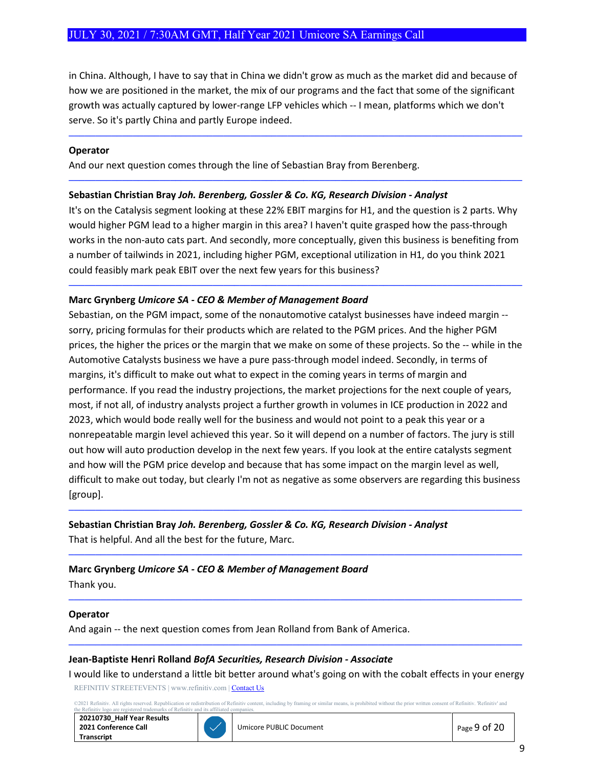in China. Although, I have to say that in China we didn't grow as much as the market did and because of how we are positioned in the market, the mix of our programs and the fact that some of the significant growth was actually captured by lower-range LFP vehicles which -- I mean, platforms which we don't serve. So it's partly China and partly Europe indeed.

─────────────────────────────────────────────────────────────────────────────────────

─────────────────────────────────────────────────────────────────────────────────────

#### **Operator**

And our next question comes through the line of Sebastian Bray from Berenberg.

#### **Sebastian Christian Bray** *Joh. Berenberg, Gossler & Co. KG, Research Division - Analyst*

It's on the Catalysis segment looking at these 22% EBIT margins for H1, and the question is 2 parts. Why would higher PGM lead to a higher margin in this area? I haven't quite grasped how the pass-through works in the non-auto cats part. And secondly, more conceptually, given this business is benefiting from a number of tailwinds in 2021, including higher PGM, exceptional utilization in H1, do you think 2021 could feasibly mark peak EBIT over the next few years for this business?

─────────────────────────────────────────────────────────────────────────────────────

#### **Marc Grynberg** *Umicore SA - CEO & Member of Management Board*

Sebastian, on the PGM impact, some of the nonautomotive catalyst businesses have indeed margin - sorry, pricing formulas for their products which are related to the PGM prices. And the higher PGM prices, the higher the prices or the margin that we make on some of these projects. So the -- while in the Automotive Catalysts business we have a pure pass-through model indeed. Secondly, in terms of margins, it's difficult to make out what to expect in the coming years in terms of margin and performance. If you read the industry projections, the market projections for the next couple of years, most, if not all, of industry analysts project a further growth in volumes in ICE production in 2022 and 2023, which would bode really well for the business and would not point to a peak this year or a nonrepeatable margin level achieved this year. So it will depend on a number of factors. The jury is still out how will auto production develop in the next few years. If you look at the entire catalysts segment and how will the PGM price develop and because that has some impact on the margin level as well, difficult to make out today, but clearly I'm not as negative as some observers are regarding this business [group].

─────────────────────────────────────────────────────────────────────────────────────

─────────────────────────────────────────────────────────────────────────────────────

─────────────────────────────────────────────────────────────────────────────────────

## **Sebastian Christian Bray** *Joh. Berenberg, Gossler & Co. KG, Research Division - Analyst*

That is helpful. And all the best for the future, Marc.

#### **Marc Grynberg** *Umicore SA - CEO & Member of Management Board*

Thank you.

#### **Operator**

And again -- the next question comes from Jean Rolland from Bank of America.

#### **Jean-Baptiste Henri Rolland** *BofA Securities, Research Division - Associate*

REFINITIV STREETEVENTS | www.refinitiv.com [| Contact Us](https://www.refinitiv.com/en/contact-us) I would like to understand a little bit better around what's going on with the cobalt effects in your energy

─────────────────────────────────────────────────────────────────────────────────────

©2021 Refinitiv. All rights reserved. Republication or redistribution of Refinitiv content, including by framing or similar means, is prohibited without the prior written consent of Refinitiv. 'Refinitiv' and and its affiliated

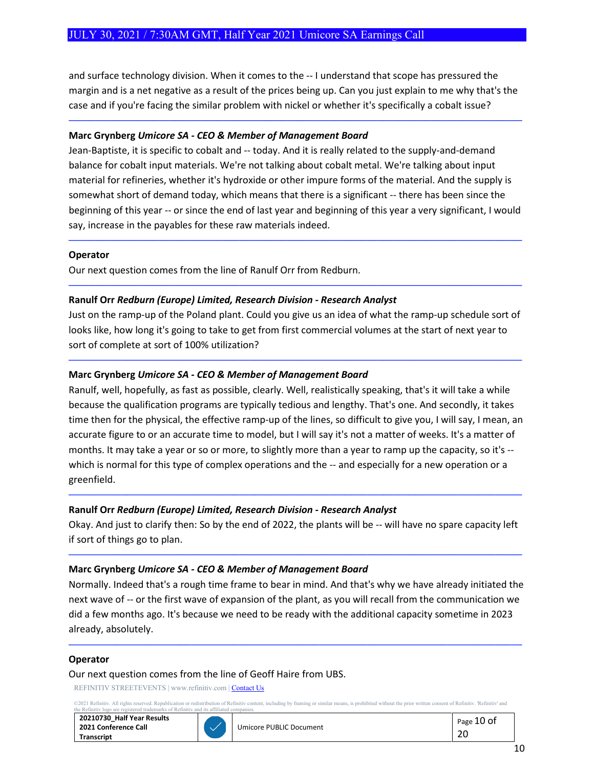and surface technology division. When it comes to the -- I understand that scope has pressured the margin and is a net negative as a result of the prices being up. Can you just explain to me why that's the case and if you're facing the similar problem with nickel or whether it's specifically a cobalt issue?

─────────────────────────────────────────────────────────────────────────────────────

## **Marc Grynberg** *Umicore SA - CEO & Member of Management Board*

Jean-Baptiste, it is specific to cobalt and -- today. And it is really related to the supply-and-demand balance for cobalt input materials. We're not talking about cobalt metal. We're talking about input material for refineries, whether it's hydroxide or other impure forms of the material. And the supply is somewhat short of demand today, which means that there is a significant -- there has been since the beginning of this year -- or since the end of last year and beginning of this year a very significant, I would say, increase in the payables for these raw materials indeed.

─────────────────────────────────────────────────────────────────────────────────────

#### **Operator**

Our next question comes from the line of Ranulf Orr from Redburn.

## **Ranulf Orr** *Redburn (Europe) Limited, Research Division - Research Analyst*

Just on the ramp-up of the Poland plant. Could you give us an idea of what the ramp-up schedule sort of looks like, how long it's going to take to get from first commercial volumes at the start of next year to sort of complete at sort of 100% utilization?

─────────────────────────────────────────────────────────────────────────────────────

─────────────────────────────────────────────────────────────────────────────────────

## **Marc Grynberg** *Umicore SA - CEO & Member of Management Board*

Ranulf, well, hopefully, as fast as possible, clearly. Well, realistically speaking, that's it will take a while because the qualification programs are typically tedious and lengthy. That's one. And secondly, it takes time then for the physical, the effective ramp-up of the lines, so difficult to give you, I will say, I mean, an accurate figure to or an accurate time to model, but I will say it's not a matter of weeks. It's a matter of months. It may take a year or so or more, to slightly more than a year to ramp up the capacity, so it's - which is normal for this type of complex operations and the -- and especially for a new operation or a greenfield.

## **Ranulf Orr** *Redburn (Europe) Limited, Research Division - Research Analyst*

Okay. And just to clarify then: So by the end of 2022, the plants will be -- will have no spare capacity left if sort of things go to plan.

─────────────────────────────────────────────────────────────────────────────────────

─────────────────────────────────────────────────────────────────────────────────────

## **Marc Grynberg** *Umicore SA - CEO & Member of Management Board*

Normally. Indeed that's a rough time frame to bear in mind. And that's why we have already initiated the next wave of -- or the first wave of expansion of the plant, as you will recall from the communication we did a few months ago. It's because we need to be ready with the additional capacity sometime in 2023 already, absolutely.

─────────────────────────────────────────────────────────────────────────────────────

#### **Operator**

#### Our next question comes from the line of Geoff Haire from UBS.

REFINITIV STREETEVENTS | www.refinitiv.com [| Contact Us](https://www.refinitiv.com/en/contact-us)

©2021 Refinitiv. All rights reserved. Republication or redistribution of Refinitiv content, including by framing or similar means, is prohibited without the prior written consent of Refinitiv. 'Refinitiv' and<br>the Refinitiv

| 20210730 Half Year Results |
|----------------------------|
| 2021 Conference Call       |
| <b>Transcript</b>          |

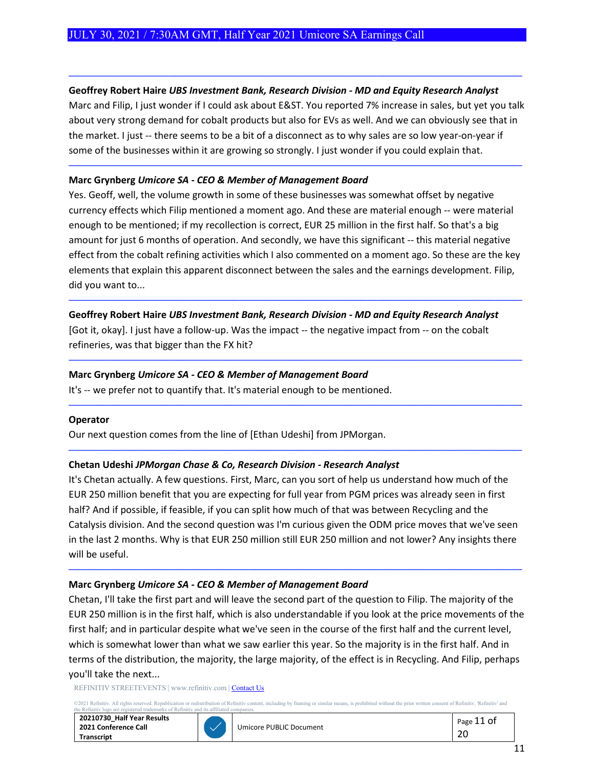## **Geoffrey Robert Haire** *UBS Investment Bank, Research Division - MD and Equity Research Analyst*

Marc and Filip, I just wonder if I could ask about E&ST. You reported 7% increase in sales, but yet you talk about very strong demand for cobalt products but also for EVs as well. And we can obviously see that in the market. I just -- there seems to be a bit of a disconnect as to why sales are so low year-on-year if some of the businesses within it are growing so strongly. I just wonder if you could explain that.

─────────────────────────────────────────────────────────────────────────────────────

─────────────────────────────────────────────────────────────────────────────────────

## **Marc Grynberg** *Umicore SA - CEO & Member of Management Board*

Yes. Geoff, well, the volume growth in some of these businesses was somewhat offset by negative currency effects which Filip mentioned a moment ago. And these are material enough -- were material enough to be mentioned; if my recollection is correct, EUR 25 million in the first half. So that's a big amount for just 6 months of operation. And secondly, we have this significant -- this material negative effect from the cobalt refining activities which I also commented on a moment ago. So these are the key elements that explain this apparent disconnect between the sales and the earnings development. Filip, did you want to...

─────────────────────────────────────────────────────────────────────────────────────

─────────────────────────────────────────────────────────────────────────────────────

─────────────────────────────────────────────────────────────────────────────────────

─────────────────────────────────────────────────────────────────────────────────────

## **Geoffrey Robert Haire** *UBS Investment Bank, Research Division - MD and Equity Research Analyst*

[Got it, okay]. I just have a follow-up. Was the impact -- the negative impact from -- on the cobalt refineries, was that bigger than the FX hit?

## **Marc Grynberg** *Umicore SA - CEO & Member of Management Board*

It's -- we prefer not to quantify that. It's material enough to be mentioned.

#### **Operator**

Our next question comes from the line of [Ethan Udeshi] from JPMorgan.

## **Chetan Udeshi** *JPMorgan Chase & Co, Research Division - Research Analyst*

It's Chetan actually. A few questions. First, Marc, can you sort of help us understand how much of the EUR 250 million benefit that you are expecting for full year from PGM prices was already seen in first half? And if possible, if feasible, if you can split how much of that was between Recycling and the Catalysis division. And the second question was I'm curious given the ODM price moves that we've seen in the last 2 months. Why is that EUR 250 million still EUR 250 million and not lower? Any insights there will be useful.

─────────────────────────────────────────────────────────────────────────────────────

## **Marc Grynberg** *Umicore SA - CEO & Member of Management Board*

Chetan, I'll take the first part and will leave the second part of the question to Filip. The majority of the EUR 250 million is in the first half, which is also understandable if you look at the price movements of the first half; and in particular despite what we've seen in the course of the first half and the current level, which is somewhat lower than what we saw earlier this year. So the majority is in the first half. And in terms of the distribution, the majority, the large majority, of the effect is in Recycling. And Filip, perhaps you'll take the next...

REFINITIV STREETEVENTS | www.refinitiv.com [| Contact Us](https://www.refinitiv.com/en/contact-us)

©2021 Refinitiv. All rights reserved. Republication or redistribution of Refinitiv content, including by framing or similar means, is prohibited without the prior written consent of Refinitiv. 'Refinitiv' and<br>the Refinitiv

| 20210730 Half Year Results |
|----------------------------|
| 2021 Conference Call       |
| <b>Transcript</b>          |



Umicore PUBLIC Document **Page 11 of**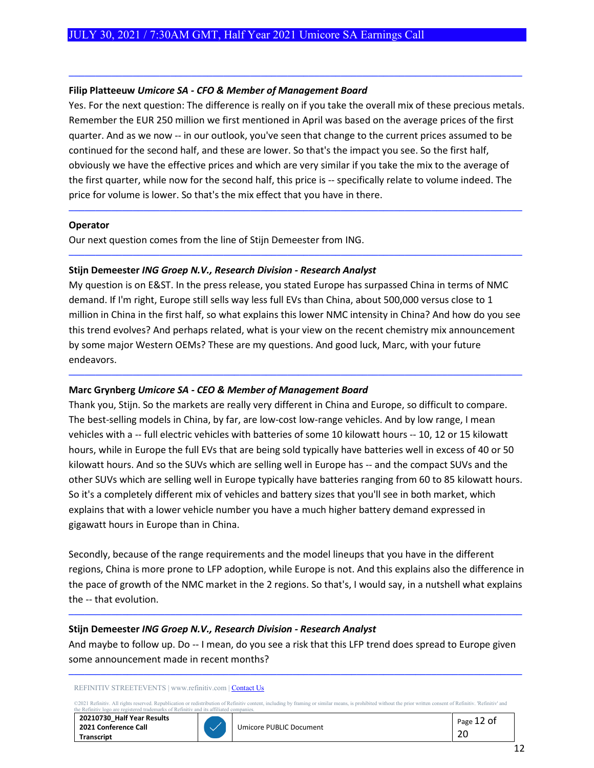#### **Filip Platteeuw** *Umicore SA - CFO & Member of Management Board*

Yes. For the next question: The difference is really on if you take the overall mix of these precious metals. Remember the EUR 250 million we first mentioned in April was based on the average prices of the first quarter. And as we now -- in our outlook, you've seen that change to the current prices assumed to be continued for the second half, and these are lower. So that's the impact you see. So the first half, obviously we have the effective prices and which are very similar if you take the mix to the average of the first quarter, while now for the second half, this price is -- specifically relate to volume indeed. The price for volume is lower. So that's the mix effect that you have in there.

─────────────────────────────────────────────────────────────────────────────────────

─────────────────────────────────────────────────────────────────────────────────────

─────────────────────────────────────────────────────────────────────────────────────

#### **Operator**

Our next question comes from the line of Stijn Demeester from ING.

## **Stijn Demeester** *ING Groep N.V., Research Division - Research Analyst*

My question is on E&ST. In the press release, you stated Europe has surpassed China in terms of NMC demand. If I'm right, Europe still sells way less full EVs than China, about 500,000 versus close to 1 million in China in the first half, so what explains this lower NMC intensity in China? And how do you see this trend evolves? And perhaps related, what is your view on the recent chemistry mix announcement by some major Western OEMs? These are my questions. And good luck, Marc, with your future endeavors.

─────────────────────────────────────────────────────────────────────────────────────

## **Marc Grynberg** *Umicore SA - CEO & Member of Management Board*

Thank you, Stijn. So the markets are really very different in China and Europe, so difficult to compare. The best-selling models in China, by far, are low-cost low-range vehicles. And by low range, I mean vehicles with a -- full electric vehicles with batteries of some 10 kilowatt hours -- 10, 12 or 15 kilowatt hours, while in Europe the full EVs that are being sold typically have batteries well in excess of 40 or 50 kilowatt hours. And so the SUVs which are selling well in Europe has -- and the compact SUVs and the other SUVs which are selling well in Europe typically have batteries ranging from 60 to 85 kilowatt hours. So it's a completely different mix of vehicles and battery sizes that you'll see in both market, which explains that with a lower vehicle number you have a much higher battery demand expressed in gigawatt hours in Europe than in China.

Secondly, because of the range requirements and the model lineups that you have in the different regions, China is more prone to LFP adoption, while Europe is not. And this explains also the difference in the pace of growth of the NMC market in the 2 regions. So that's, I would say, in a nutshell what explains the -- that evolution.

─────────────────────────────────────────────────────────────────────────────────────

#### **Stijn Demeester** *ING Groep N.V., Research Division - Research Analyst*

And maybe to follow up. Do -- I mean, do you see a risk that this LFP trend does spread to Europe given some announcement made in recent months?

─────────────────────────────────────────────────────────────────────────────────────

#### REFINITIV STREETEVENTS | www.refinitiv.com [| Contact Us](https://www.refinitiv.com/en/contact-us)

©2021 Refinitiv. All rights reserved. Republication or redistribution of Refinitiv content, including by framing or similar means, is prohibited without the prior written consent of Refinitiv. 'Refinitiv' and<br>the Refinitiv



| Umicore PUBLIC Document | $\vert$ Page 12 of |
|-------------------------|--------------------|
|                         |                    |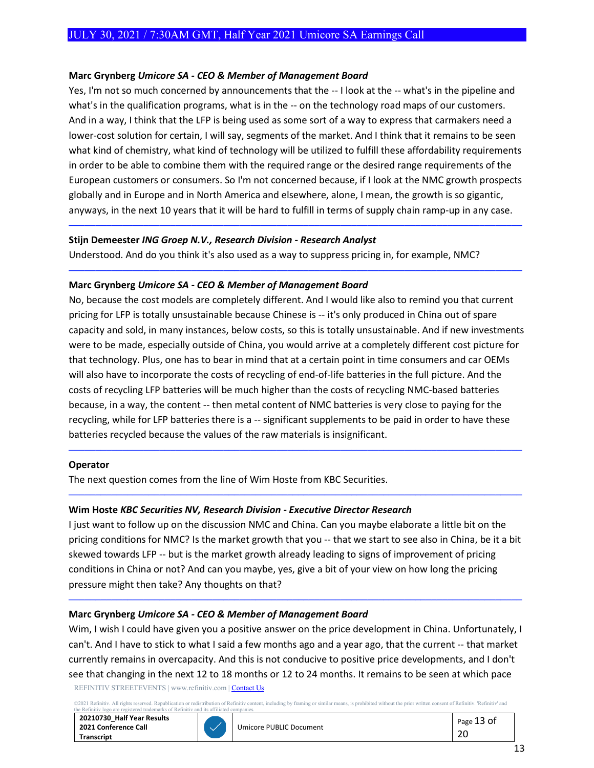## **Marc Grynberg** *Umicore SA - CEO & Member of Management Board*

Yes, I'm not so much concerned by announcements that the -- I look at the -- what's in the pipeline and what's in the qualification programs, what is in the -- on the technology road maps of our customers. And in a way, I think that the LFP is being used as some sort of a way to express that carmakers need a lower-cost solution for certain, I will say, segments of the market. And I think that it remains to be seen what kind of chemistry, what kind of technology will be utilized to fulfill these affordability requirements in order to be able to combine them with the required range or the desired range requirements of the European customers or consumers. So I'm not concerned because, if I look at the NMC growth prospects globally and in Europe and in North America and elsewhere, alone, I mean, the growth is so gigantic, anyways, in the next 10 years that it will be hard to fulfill in terms of supply chain ramp-up in any case.

─────────────────────────────────────────────────────────────────────────────────────

─────────────────────────────────────────────────────────────────────────────────────

#### **Stijn Demeester** *ING Groep N.V., Research Division - Research Analyst*

Understood. And do you think it's also used as a way to suppress pricing in, for example, NMC?

## **Marc Grynberg** *Umicore SA - CEO & Member of Management Board*

No, because the cost models are completely different. And I would like also to remind you that current pricing for LFP is totally unsustainable because Chinese is -- it's only produced in China out of spare capacity and sold, in many instances, below costs, so this is totally unsustainable. And if new investments were to be made, especially outside of China, you would arrive at a completely different cost picture for that technology. Plus, one has to bear in mind that at a certain point in time consumers and car OEMs will also have to incorporate the costs of recycling of end-of-life batteries in the full picture. And the costs of recycling LFP batteries will be much higher than the costs of recycling NMC-based batteries because, in a way, the content -- then metal content of NMC batteries is very close to paying for the recycling, while for LFP batteries there is a -- significant supplements to be paid in order to have these batteries recycled because the values of the raw materials is insignificant.

─────────────────────────────────────────────────────────────────────────────────────

─────────────────────────────────────────────────────────────────────────────────────

#### **Operator**

The next question comes from the line of Wim Hoste from KBC Securities.

## **Wim Hoste** *KBC Securities NV, Research Division - Executive Director Research*

I just want to follow up on the discussion NMC and China. Can you maybe elaborate a little bit on the pricing conditions for NMC? Is the market growth that you -- that we start to see also in China, be it a bit skewed towards LFP -- but is the market growth already leading to signs of improvement of pricing conditions in China or not? And can you maybe, yes, give a bit of your view on how long the pricing pressure might then take? Any thoughts on that?

─────────────────────────────────────────────────────────────────────────────────────

## **Marc Grynberg** *Umicore SA - CEO & Member of Management Board*

REFINITIV STREETEVENTS | www.refinitiv.com [| Contact Us](https://www.refinitiv.com/en/contact-us) Wim, I wish I could have given you a positive answer on the price development in China. Unfortunately, I can't. And I have to stick to what I said a few months ago and a year ago, that the current -- that market currently remains in overcapacity. And this is not conducive to positive price developments, and I don't see that changing in the next 12 to 18 months or 12 to 24 months. It remains to be seen at which pace

02021 Refinitiv. All rights reserved. Republication or redistribution of Refinitiv content, including by framing or similar means, is prohibited without the prior written consent of Refinitiv. 'Refinitiv' and is affinitiv arks of Refinit

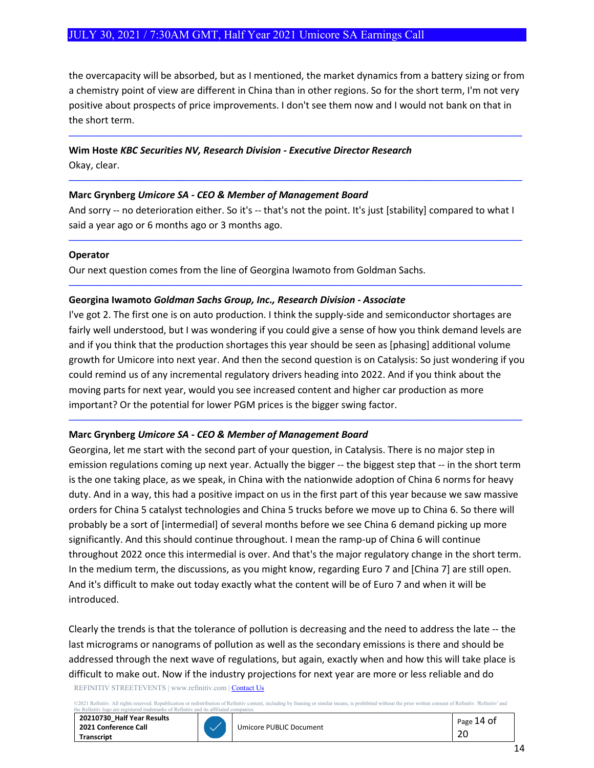the overcapacity will be absorbed, but as I mentioned, the market dynamics from a battery sizing or from a chemistry point of view are different in China than in other regions. So for the short term, I'm not very positive about prospects of price improvements. I don't see them now and I would not bank on that in the short term.

─────────────────────────────────────────────────────────────────────────────────────

─────────────────────────────────────────────────────────────────────────────────────

# **Wim Hoste** *KBC Securities NV, Research Division - Executive Director Research*

Okay, clear.

## **Marc Grynberg** *Umicore SA - CEO & Member of Management Board*

And sorry -- no deterioration either. So it's -- that's not the point. It's just [stability] compared to what I said a year ago or 6 months ago or 3 months ago.

─────────────────────────────────────────────────────────────────────────────────────

─────────────────────────────────────────────────────────────────────────────────────

## **Operator**

Our next question comes from the line of Georgina Iwamoto from Goldman Sachs.

## **Georgina Iwamoto** *Goldman Sachs Group, Inc., Research Division - Associate*

I've got 2. The first one is on auto production. I think the supply-side and semiconductor shortages are fairly well understood, but I was wondering if you could give a sense of how you think demand levels are and if you think that the production shortages this year should be seen as [phasing] additional volume growth for Umicore into next year. And then the second question is on Catalysis: So just wondering if you could remind us of any incremental regulatory drivers heading into 2022. And if you think about the moving parts for next year, would you see increased content and higher car production as more important? Or the potential for lower PGM prices is the bigger swing factor.

─────────────────────────────────────────────────────────────────────────────────────

# **Marc Grynberg** *Umicore SA - CEO & Member of Management Board*

Georgina, let me start with the second part of your question, in Catalysis. There is no major step in emission regulations coming up next year. Actually the bigger -- the biggest step that -- in the short term is the one taking place, as we speak, in China with the nationwide adoption of China 6 norms for heavy duty. And in a way, this had a positive impact on us in the first part of this year because we saw massive orders for China 5 catalyst technologies and China 5 trucks before we move up to China 6. So there will probably be a sort of [intermedial] of several months before we see China 6 demand picking up more significantly. And this should continue throughout. I mean the ramp-up of China 6 will continue throughout 2022 once this intermedial is over. And that's the major regulatory change in the short term. In the medium term, the discussions, as you might know, regarding Euro 7 and [China 7] are still open. And it's difficult to make out today exactly what the content will be of Euro 7 and when it will be introduced.

REFINITIV STREETEVENTS | www.refinitiv.com [| Contact Us](https://www.refinitiv.com/en/contact-us) Clearly the trends is that the tolerance of pollution is decreasing and the need to address the late -- the last micrograms or nanograms of pollution as well as the secondary emissions is there and should be addressed through the next wave of regulations, but again, exactly when and how this will take place is difficult to make out. Now if the industry projections for next year are more or less reliable and do

ation or redistribution of Refinitiv content, including by framing or similar means, is prohibited without the prior written consent of Refinitiv. 'Refinitiv' and arks of Refinitiv and its affiliated

**20210730\_Half Year Results 2021 Conference Call Transcript**



Umicore PUBLIC Document **Page 14 of**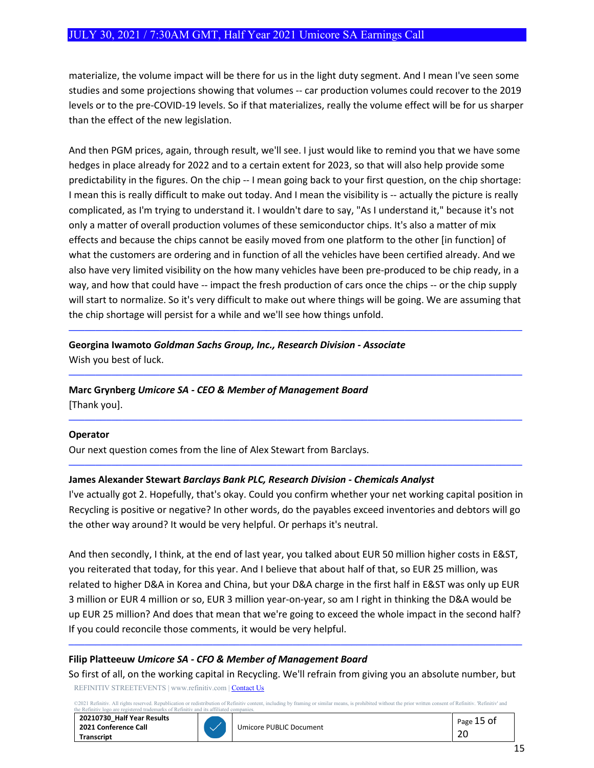materialize, the volume impact will be there for us in the light duty segment. And I mean I've seen some studies and some projections showing that volumes -- car production volumes could recover to the 2019 levels or to the pre-COVID-19 levels. So if that materializes, really the volume effect will be for us sharper than the effect of the new legislation.

And then PGM prices, again, through result, we'll see. I just would like to remind you that we have some hedges in place already for 2022 and to a certain extent for 2023, so that will also help provide some predictability in the figures. On the chip -- I mean going back to your first question, on the chip shortage: I mean this is really difficult to make out today. And I mean the visibility is -- actually the picture is really complicated, as I'm trying to understand it. I wouldn't dare to say, "As I understand it," because it's not only a matter of overall production volumes of these semiconductor chips. It's also a matter of mix effects and because the chips cannot be easily moved from one platform to the other [in function] of what the customers are ordering and in function of all the vehicles have been certified already. And we also have very limited visibility on the how many vehicles have been pre-produced to be chip ready, in a way, and how that could have -- impact the fresh production of cars once the chips -- or the chip supply will start to normalize. So it's very difficult to make out where things will be going. We are assuming that the chip shortage will persist for a while and we'll see how things unfold.

─────────────────────────────────────────────────────────────────────────────────────

─────────────────────────────────────────────────────────────────────────────────────

─────────────────────────────────────────────────────────────────────────────────────

─────────────────────────────────────────────────────────────────────────────────────

# **Georgina Iwamoto** *Goldman Sachs Group, Inc., Research Division - Associate* Wish you best of luck.

## **Marc Grynberg** *Umicore SA - CEO & Member of Management Board*

[Thank you].

#### **Operator**

Our next question comes from the line of Alex Stewart from Barclays.

## **James Alexander Stewart** *Barclays Bank PLC, Research Division - Chemicals Analyst*

I've actually got 2. Hopefully, that's okay. Could you confirm whether your net working capital position in Recycling is positive or negative? In other words, do the payables exceed inventories and debtors will go the other way around? It would be very helpful. Or perhaps it's neutral.

And then secondly, I think, at the end of last year, you talked about EUR 50 million higher costs in E&ST, you reiterated that today, for this year. And I believe that about half of that, so EUR 25 million, was related to higher D&A in Korea and China, but your D&A charge in the first half in E&ST was only up EUR 3 million or EUR 4 million or so, EUR 3 million year-on-year, so am I right in thinking the D&A would be up EUR 25 million? And does that mean that we're going to exceed the whole impact in the second half? If you could reconcile those comments, it would be very helpful.

## **Filip Platteeuw** *Umicore SA - CFO & Member of Management Board*

REFINITIV STREETEVENTS | www.refinitiv.com [| Contact Us](https://www.refinitiv.com/en/contact-us) So first of all, on the working capital in Recycling. We'll refrain from giving you an absolute number, but

─────────────────────────────────────────────────────────────────────────────────────

©2021 Refinitiv. All rights reserved. Republication or redistribution of Refinitiv content, including by framing or similar means, is prohibited without the prior written consent of Refinitiv. 'Refinitiv' and<br>the Refinitiv

| 20210730 Half Year Results |  |
|----------------------------|--|
| 2021 Conference Call       |  |
| <b>Transcript</b>          |  |

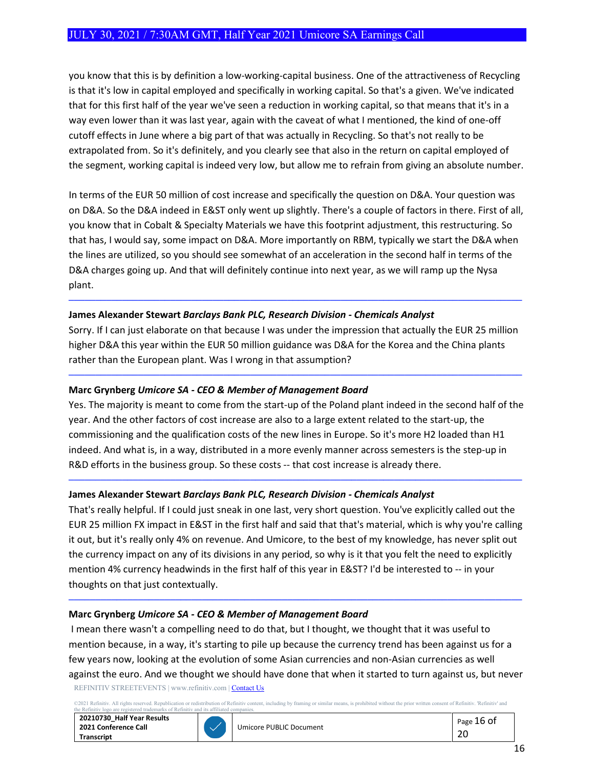you know that this is by definition a low-working-capital business. One of the attractiveness of Recycling is that it's low in capital employed and specifically in working capital. So that's a given. We've indicated that for this first half of the year we've seen a reduction in working capital, so that means that it's in a way even lower than it was last year, again with the caveat of what I mentioned, the kind of one-off cutoff effects in June where a big part of that was actually in Recycling. So that's not really to be extrapolated from. So it's definitely, and you clearly see that also in the return on capital employed of the segment, working capital is indeed very low, but allow me to refrain from giving an absolute number.

In terms of the EUR 50 million of cost increase and specifically the question on D&A. Your question was on D&A. So the D&A indeed in E&ST only went up slightly. There's a couple of factors in there. First of all, you know that in Cobalt & Specialty Materials we have this footprint adjustment, this restructuring. So that has, I would say, some impact on D&A. More importantly on RBM, typically we start the D&A when the lines are utilized, so you should see somewhat of an acceleration in the second half in terms of the D&A charges going up. And that will definitely continue into next year, as we will ramp up the Nysa plant.

## **James Alexander Stewart** *Barclays Bank PLC, Research Division - Chemicals Analyst*

Sorry. If I can just elaborate on that because I was under the impression that actually the EUR 25 million higher D&A this year within the EUR 50 million guidance was D&A for the Korea and the China plants rather than the European plant. Was I wrong in that assumption?

─────────────────────────────────────────────────────────────────────────────────────

─────────────────────────────────────────────────────────────────────────────────────

## **Marc Grynberg** *Umicore SA - CEO & Member of Management Board*

Yes. The majority is meant to come from the start-up of the Poland plant indeed in the second half of the year. And the other factors of cost increase are also to a large extent related to the start-up, the commissioning and the qualification costs of the new lines in Europe. So it's more H2 loaded than H1 indeed. And what is, in a way, distributed in a more evenly manner across semesters is the step-up in R&D efforts in the business group. So these costs -- that cost increase is already there.

─────────────────────────────────────────────────────────────────────────────────────

## **James Alexander Stewart** *Barclays Bank PLC, Research Division - Chemicals Analyst*

That's really helpful. If I could just sneak in one last, very short question. You've explicitly called out the EUR 25 million FX impact in E&ST in the first half and said that that's material, which is why you're calling it out, but it's really only 4% on revenue. And Umicore, to the best of my knowledge, has never split out the currency impact on any of its divisions in any period, so why is it that you felt the need to explicitly mention 4% currency headwinds in the first half of this year in E&ST? I'd be interested to -- in your thoughts on that just contextually.

─────────────────────────────────────────────────────────────────────────────────────

#### **Marc Grynberg** *Umicore SA - CEO & Member of Management Board*

REFINITIV STREETEVENTS | www.refinitiv.com [| Contact Us](https://www.refinitiv.com/en/contact-us) I mean there wasn't a compelling need to do that, but I thought, we thought that it was useful to mention because, in a way, it's starting to pile up because the currency trend has been against us for a few years now, looking at the evolution of some Asian currencies and non-Asian currencies as well against the euro. And we thought we should have done that when it started to turn against us, but never

2021 Refinitiv. All rights reserved. Republication or redistribution of Refinitiv content, including by framing or similar means, is prohibited without the prior written consent of Refinitiv. 'Refinitiv' and<br>e Refinitiv lo



arks of Refiniti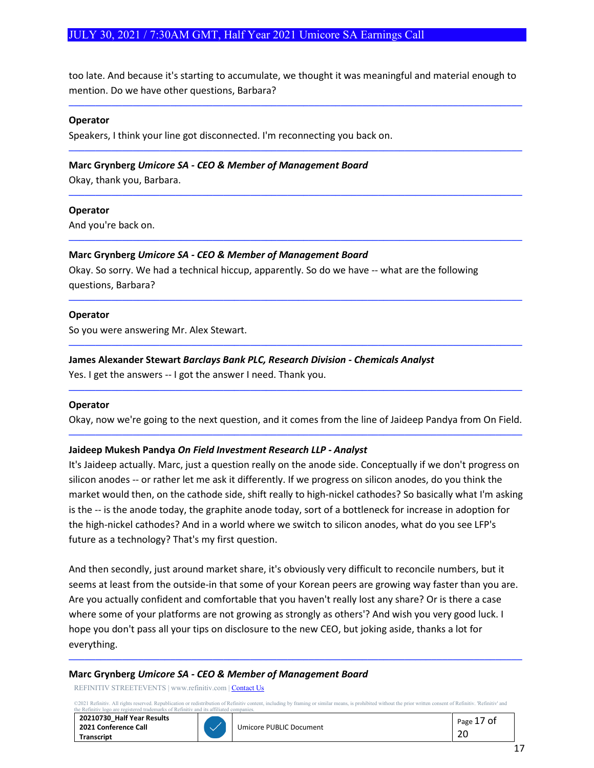too late. And because it's starting to accumulate, we thought it was meaningful and material enough to mention. Do we have other questions, Barbara?

─────────────────────────────────────────────────────────────────────────────────────

─────────────────────────────────────────────────────────────────────────────────────

─────────────────────────────────────────────────────────────────────────────────────

─────────────────────────────────────────────────────────────────────────────────────

─────────────────────────────────────────────────────────────────────────────────────

─────────────────────────────────────────────────────────────────────────────────────

#### **Operator**

Speakers, I think your line got disconnected. I'm reconnecting you back on.

#### **Marc Grynberg** *Umicore SA - CEO & Member of Management Board*

Okay, thank you, Barbara.

#### **Operator**

And you're back on.

#### **Marc Grynberg** *Umicore SA - CEO & Member of Management Board*

Okay. So sorry. We had a technical hiccup, apparently. So do we have -- what are the following questions, Barbara?

#### **Operator**

So you were answering Mr. Alex Stewart.

#### **James Alexander Stewart** *Barclays Bank PLC, Research Division - Chemicals Analyst*

Yes. I get the answers -- I got the answer I need. Thank you.

#### **Operator**

Okay, now we're going to the next question, and it comes from the line of Jaideep Pandya from On Field. ─────────────────────────────────────────────────────────────────────────────────────

─────────────────────────────────────────────────────────────────────────────────────

#### **Jaideep Mukesh Pandya** *On Field Investment Research LLP - Analyst*

It's Jaideep actually. Marc, just a question really on the anode side. Conceptually if we don't progress on silicon anodes -- or rather let me ask it differently. If we progress on silicon anodes, do you think the market would then, on the cathode side, shift really to high-nickel cathodes? So basically what I'm asking is the -- is the anode today, the graphite anode today, sort of a bottleneck for increase in adoption for the high-nickel cathodes? And in a world where we switch to silicon anodes, what do you see LFP's future as a technology? That's my first question.

And then secondly, just around market share, it's obviously very difficult to reconcile numbers, but it seems at least from the outside-in that some of your Korean peers are growing way faster than you are. Are you actually confident and comfortable that you haven't really lost any share? Or is there a case where some of your platforms are not growing as strongly as others'? And wish you very good luck. I hope you don't pass all your tips on disclosure to the new CEO, but joking aside, thanks a lot for everything.

#### **Marc Grynberg** *Umicore SA - CEO & Member of Management Board*

REFINITIV STREETEVENTS | www.refinitiv.com [| Contact Us](https://www.refinitiv.com/en/contact-us)

the Refinitiv logo are registered trademarks of Refinitiv and its affiliated companies.

©2021 Refinitiv. All rights reserved. Republication or redistribution of Refinitiv content, including by framing or similar means, is prohibited without the prior written consent of Refinitiv. 'Refinitiv' and

─────────────────────────────────────────────────────────────────────────────────────

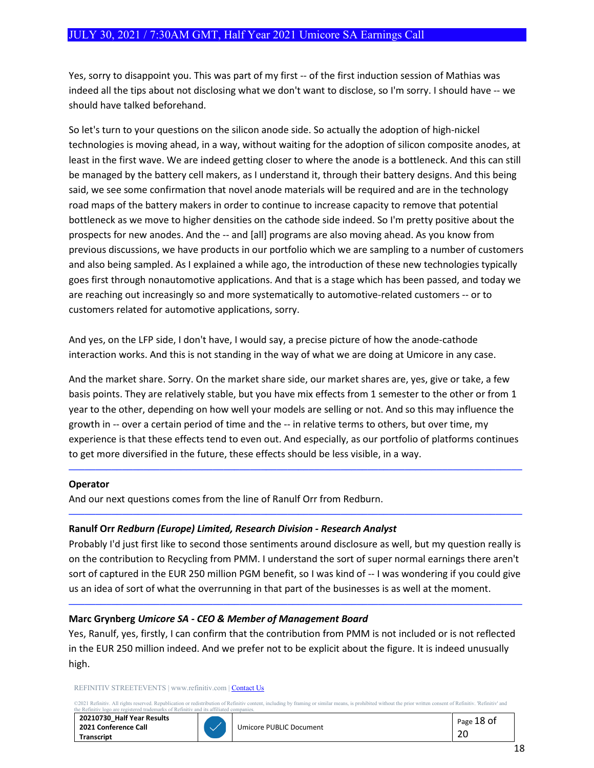Yes, sorry to disappoint you. This was part of my first -- of the first induction session of Mathias was indeed all the tips about not disclosing what we don't want to disclose, so I'm sorry. I should have -- we should have talked beforehand.

So let's turn to your questions on the silicon anode side. So actually the adoption of high-nickel technologies is moving ahead, in a way, without waiting for the adoption of silicon composite anodes, at least in the first wave. We are indeed getting closer to where the anode is a bottleneck. And this can still be managed by the battery cell makers, as I understand it, through their battery designs. And this being said, we see some confirmation that novel anode materials will be required and are in the technology road maps of the battery makers in order to continue to increase capacity to remove that potential bottleneck as we move to higher densities on the cathode side indeed. So I'm pretty positive about the prospects for new anodes. And the -- and [all] programs are also moving ahead. As you know from previous discussions, we have products in our portfolio which we are sampling to a number of customers and also being sampled. As I explained a while ago, the introduction of these new technologies typically goes first through nonautomotive applications. And that is a stage which has been passed, and today we are reaching out increasingly so and more systematically to automotive-related customers -- or to customers related for automotive applications, sorry.

And yes, on the LFP side, I don't have, I would say, a precise picture of how the anode-cathode interaction works. And this is not standing in the way of what we are doing at Umicore in any case.

And the market share. Sorry. On the market share side, our market shares are, yes, give or take, a few basis points. They are relatively stable, but you have mix effects from 1 semester to the other or from 1 year to the other, depending on how well your models are selling or not. And so this may influence the growth in -- over a certain period of time and the -- in relative terms to others, but over time, my experience is that these effects tend to even out. And especially, as our portfolio of platforms continues to get more diversified in the future, these effects should be less visible, in a way.

─────────────────────────────────────────────────────────────────────────────────────

─────────────────────────────────────────────────────────────────────────────────────

#### **Operator**

And our next questions comes from the line of Ranulf Orr from Redburn.

## **Ranulf Orr** *Redburn (Europe) Limited, Research Division - Research Analyst*

Probably I'd just first like to second those sentiments around disclosure as well, but my question really is on the contribution to Recycling from PMM. I understand the sort of super normal earnings there aren't sort of captured in the EUR 250 million PGM benefit, so I was kind of -- I was wondering if you could give us an idea of sort of what the overrunning in that part of the businesses is as well at the moment.

─────────────────────────────────────────────────────────────────────────────────────

## **Marc Grynberg** *Umicore SA - CEO & Member of Management Board*

Yes, Ranulf, yes, firstly, I can confirm that the contribution from PMM is not included or is not reflected in the EUR 250 million indeed. And we prefer not to be explicit about the figure. It is indeed unusually high.

#### REFINITIV STREETEVENTS | www.refinitiv.com [| Contact Us](https://www.refinitiv.com/en/contact-us)

©2021 Refinitiv. All rights reserved. Republication or redistribution of Refinitiv content, including by framing or similar means, is prohibited without the prior written consent of Refinitiv. 'Refinitiv' and<br>the Refinitiv

| 20210730 Half Year Results |
|----------------------------|
| 2021 Conference Call       |
| Transcript                 |

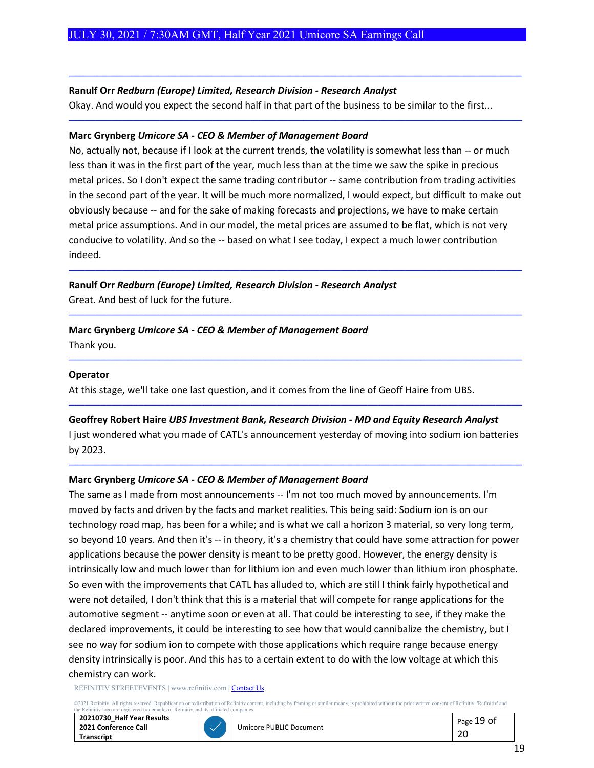## **Ranulf Orr** *Redburn (Europe) Limited, Research Division - Research Analyst*

Okay. And would you expect the second half in that part of the business to be similar to the first...

─────────────────────────────────────────────────────────────────────────────────────

─────────────────────────────────────────────────────────────────────────────────────

#### **Marc Grynberg** *Umicore SA - CEO & Member of Management Board*

No, actually not, because if I look at the current trends, the volatility is somewhat less than -- or much less than it was in the first part of the year, much less than at the time we saw the spike in precious metal prices. So I don't expect the same trading contributor -- same contribution from trading activities in the second part of the year. It will be much more normalized, I would expect, but difficult to make out obviously because -- and for the sake of making forecasts and projections, we have to make certain metal price assumptions. And in our model, the metal prices are assumed to be flat, which is not very conducive to volatility. And so the -- based on what I see today, I expect a much lower contribution indeed.

─────────────────────────────────────────────────────────────────────────────────────

─────────────────────────────────────────────────────────────────────────────────────

─────────────────────────────────────────────────────────────────────────────────────

**Ranulf Orr** *Redburn (Europe) Limited, Research Division - Research Analyst* Great. And best of luck for the future.

# **Marc Grynberg** *Umicore SA - CEO & Member of Management Board*

Thank you.

#### **Operator**

At this stage, we'll take one last question, and it comes from the line of Geoff Haire from UBS.

## **Geoffrey Robert Haire** *UBS Investment Bank, Research Division - MD and Equity Research Analyst*

I just wondered what you made of CATL's announcement yesterday of moving into sodium ion batteries by 2023.

─────────────────────────────────────────────────────────────────────────────────────

─────────────────────────────────────────────────────────────────────────────────────

#### **Marc Grynberg** *Umicore SA - CEO & Member of Management Board*

The same as I made from most announcements -- I'm not too much moved by announcements. I'm moved by facts and driven by the facts and market realities. This being said: Sodium ion is on our technology road map, has been for a while; and is what we call a horizon 3 material, so very long term, so beyond 10 years. And then it's -- in theory, it's a chemistry that could have some attraction for power applications because the power density is meant to be pretty good. However, the energy density is intrinsically low and much lower than for lithium ion and even much lower than lithium iron phosphate. So even with the improvements that CATL has alluded to, which are still I think fairly hypothetical and were not detailed, I don't think that this is a material that will compete for range applications for the automotive segment -- anytime soon or even at all. That could be interesting to see, if they make the declared improvements, it could be interesting to see how that would cannibalize the chemistry, but I see no way for sodium ion to compete with those applications which require range because energy density intrinsically is poor. And this has to a certain extent to do with the low voltage at which this chemistry can work.

REFINITIV STREETEVENTS | www.refinitiv.com [| Contact Us](https://www.refinitiv.com/en/contact-us)

©2021 Refinitiv. All rights reserved. Republication or redistribution of Refinitiv content, including by framing or similar means, is prohibited without the prior written consent of Refinitiv. 'Refinitiv' and<br>the Refinitiv

**20210730\_Half Year Results 2021 Conference Call Transcript**



Umicore PUBLIC Document **Page 19 of**